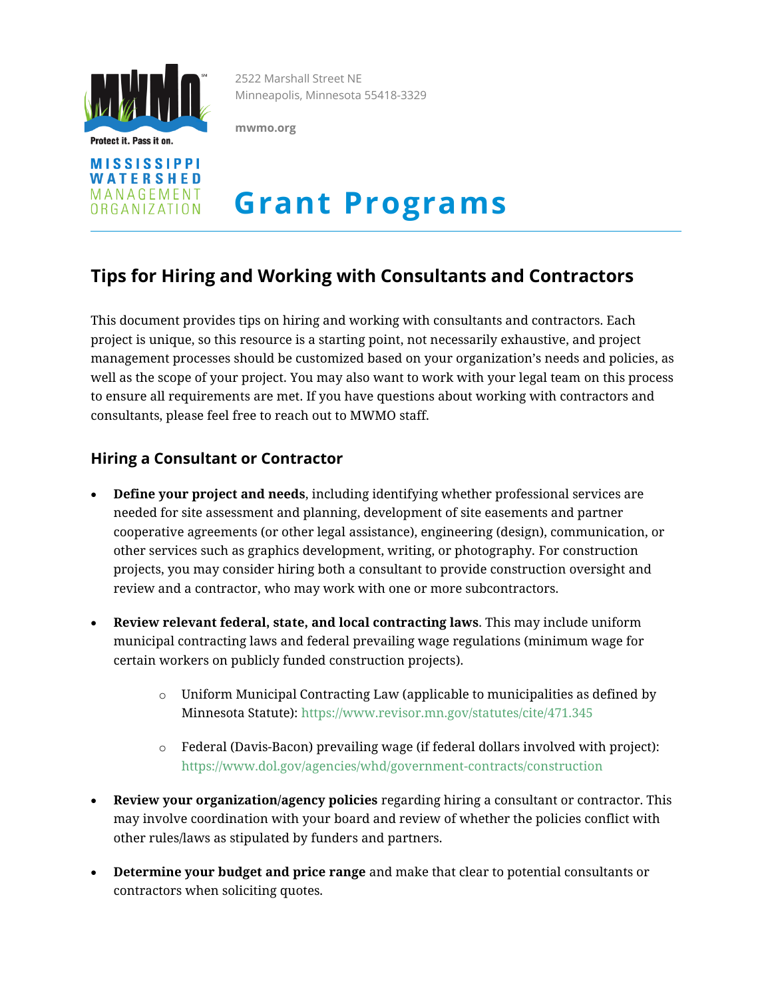

Protect it. Pass it on.



2522 Marshall Street NE Minneapolis, Minnesota 55418-3329

**mwmo.org**

# **Grant Programs**

# **Tips for Hiring and Working with Consultants and Contractors**

This document provides tips on hiring and working with consultants and contractors. Each project is unique, so this resource is a starting point, not necessarily exhaustive, and project management processes should be customized based on your organization's needs and policies, as well as the scope of your project. You may also want to work with your legal team on this process to ensure all requirements are met. If you have questions about working with contractors and consultants, please feel free to reach out to MWMO staff.

## **Hiring a Consultant or Contractor**

- **Define your project and needs**, including identifying whether professional services are needed for site assessment and planning, development of site easements and partner cooperative agreements (or other legal assistance), engineering (design), communication, or other services such as graphics development, writing, or photography. For construction projects, you may consider hiring both a consultant to provide construction oversight and review and a contractor, who may work with one or more subcontractors.
- **Review relevant federal, state, and local contracting laws**. This may include uniform municipal contracting laws and federal prevailing wage regulations (minimum wage for certain workers on publicly funded construction projects).
	- $\circ$  Uniform Municipal Contracting Law (applicable to municipalities as defined by Minnesota Statute):<https://www.revisor.mn.gov/statutes/cite/471.345>
	- $\circ$  Federal (Davis-Bacon) prevailing wage (if federal dollars involved with project): <https://www.dol.gov/agencies/whd/government-contracts/construction>
- **Review your organization/agency policies** regarding hiring a consultant or contractor. This may involve coordination with your board and review of whether the policies conflict with other rules/laws as stipulated by funders and partners.
- **Determine your budget and price range** and make that clear to potential consultants or contractors when soliciting quotes.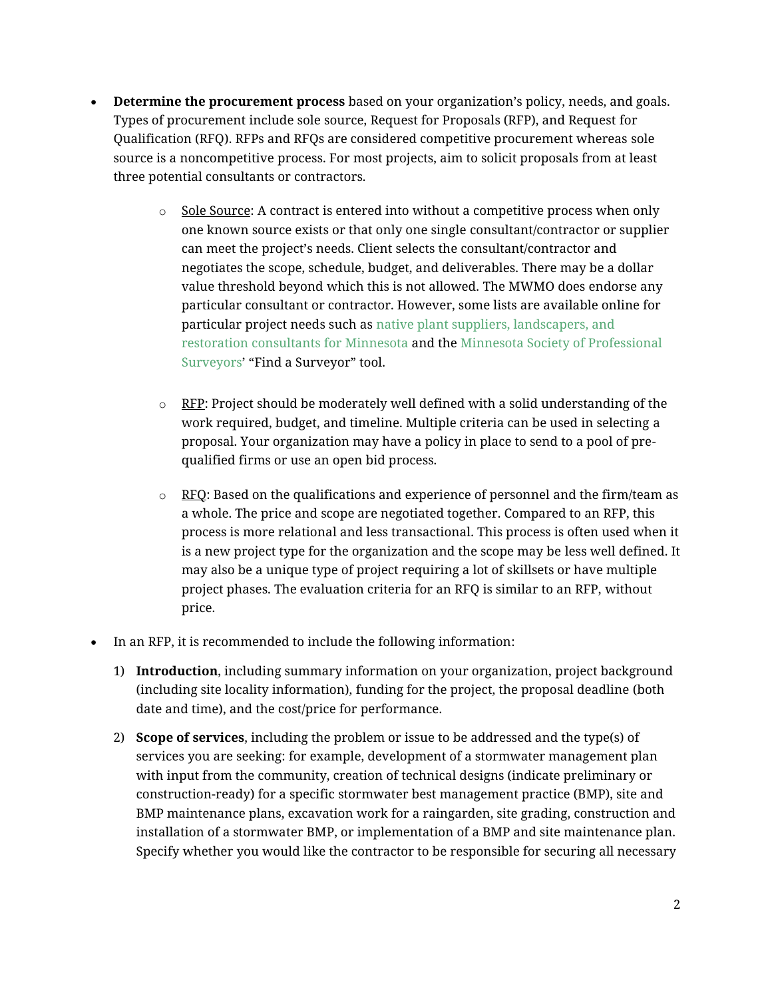- **Determine the procurement process** based on your organization's policy, needs, and goals. Types of procurement include sole source, Request for Proposals (RFP), and Request for Qualification (RFQ). RFPs and RFQs are considered competitive procurement whereas sole source is a noncompetitive process. For most projects, aim to solicit proposals from at least three potential consultants or contractors.
	- $\circ$  Sole Source: A contract is entered into without a competitive process when only one known source exists or that only one single consultant/contractor or supplier can meet the project's needs. Client selects the consultant/contractor and negotiates the scope, schedule, budget, and deliverables. There may be a dollar value threshold beyond which this is not allowed. The MWMO does endorse any particular consultant or contractor. However, some lists are available online for particular project needs such as [native plant suppliers, landscapers, and](https://www.dnr.state.mn.us/gardens/nativeplants/suppliers.html)  [restoration consultants for Minnesota](https://www.dnr.state.mn.us/gardens/nativeplants/suppliers.html) and the [Minnesota Society of Professional](https://www.mnsurveyor.com/)  [Surveyors](https://www.mnsurveyor.com/)' "Find a Surveyor" tool.
	- $\circ$  RFP: Project should be moderately well defined with a solid understanding of the work required, budget, and timeline. Multiple criteria can be used in selecting a proposal. Your organization may have a policy in place to send to a pool of prequalified firms or use an open bid process.
	- $\circ$  RFQ: Based on the qualifications and experience of personnel and the firm/team as a whole. The price and scope are negotiated together. Compared to an RFP, this process is more relational and less transactional. This process is often used when it is a new project type for the organization and the scope may be less well defined. It may also be a unique type of project requiring a lot of skillsets or have multiple project phases. The evaluation criteria for an RFQ is similar to an RFP, without price.
- In an RFP, it is recommended to include the following information:
	- 1) **Introduction**, including summary information on your organization, project background (including site locality information), funding for the project, the proposal deadline (both date and time), and the cost/price for performance.
	- 2) **Scope of services**, including the problem or issue to be addressed and the type(s) of services you are seeking: for example, development of a stormwater management plan with input from the community, creation of technical designs (indicate preliminary or construction-ready) for a specific stormwater best management practice (BMP), site and BMP maintenance plans, excavation work for a raingarden, site grading, construction and installation of a stormwater BMP, or implementation of a BMP and site maintenance plan. Specify whether you would like the contractor to be responsible for securing all necessary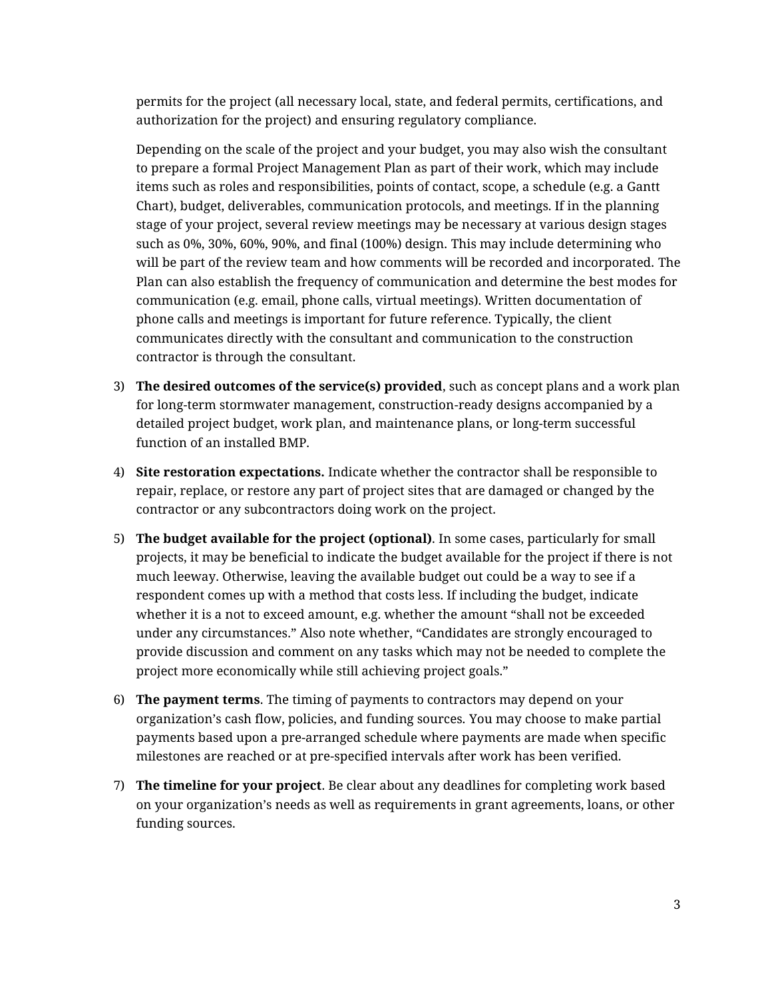permits for the project (all necessary local, state, and federal permits, certifications, and authorization for the project) and ensuring regulatory compliance.

Depending on the scale of the project and your budget, you may also wish the consultant to prepare a formal Project Management Plan as part of their work, which may include items such as roles and responsibilities, points of contact, scope, a schedule (e.g. a Gantt Chart), budget, deliverables, communication protocols, and meetings. If in the planning stage of your project, several review meetings may be necessary at various design stages such as 0%, 30%, 60%, 90%, and final (100%) design. This may include determining who will be part of the review team and how comments will be recorded and incorporated. The Plan can also establish the frequency of communication and determine the best modes for communication (e.g. email, phone calls, virtual meetings). Written documentation of phone calls and meetings is important for future reference. Typically, the client communicates directly with the consultant and communication to the construction contractor is through the consultant.

- 3) **The desired outcomes of the service(s) provided**, such as concept plans and a work plan for long-term stormwater management, construction-ready designs accompanied by a detailed project budget, work plan, and maintenance plans, or long-term successful function of an installed BMP.
- 4) **Site restoration expectations.** Indicate whether the contractor shall be responsible to repair, replace, or restore any part of project sites that are damaged or changed by the contractor or any subcontractors doing work on the project.
- 5) **The budget available for the project (optional)**. In some cases, particularly for small projects, it may be beneficial to indicate the budget available for the project if there is not much leeway. Otherwise, leaving the available budget out could be a way to see if a respondent comes up with a method that costs less. If including the budget, indicate whether it is a not to exceed amount, e.g. whether the amount "shall not be exceeded under any circumstances." Also note whether, "Candidates are strongly encouraged to provide discussion and comment on any tasks which may not be needed to complete the project more economically while still achieving project goals."
- 6) **The payment terms**. The timing of payments to contractors may depend on your organization's cash flow, policies, and funding sources. You may choose to make partial payments based upon a pre-arranged schedule where payments are made when specific milestones are reached or at pre-specified intervals after work has been verified.
- 7) **The timeline for your project**. Be clear about any deadlines for completing work based on your organization's needs as well as requirements in grant agreements, loans, or other funding sources.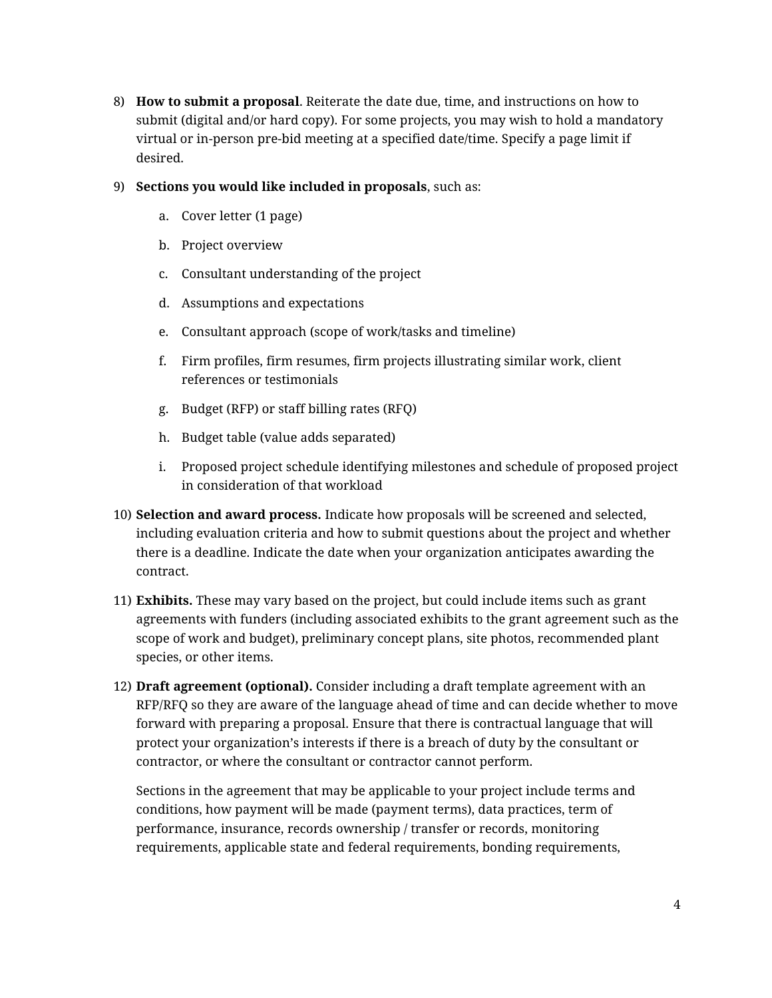- 8) **How to submit a proposal**. Reiterate the date due, time, and instructions on how to submit (digital and/or hard copy). For some projects, you may wish to hold a mandatory virtual or in-person pre-bid meeting at a specified date/time. Specify a page limit if desired.
- 9) **Sections you would like included in proposals**, such as:
	- a. Cover letter (1 page)
	- b. Project overview
	- c. Consultant understanding of the project
	- d. Assumptions and expectations
	- e. Consultant approach (scope of work/tasks and timeline)
	- f. Firm profiles, firm resumes, firm projects illustrating similar work, client references or testimonials
	- g. Budget (RFP) or staff billing rates (RFQ)
	- h. Budget table (value adds separated)
	- i. Proposed project schedule identifying milestones and schedule of proposed project in consideration of that workload
- 10) **Selection and award process.** Indicate how proposals will be screened and selected, including evaluation criteria and how to submit questions about the project and whether there is a deadline. Indicate the date when your organization anticipates awarding the contract.
- 11) **Exhibits.** These may vary based on the project, but could include items such as grant agreements with funders (including associated exhibits to the grant agreement such as the scope of work and budget), preliminary concept plans, site photos, recommended plant species, or other items.
- 12) **Draft agreement (optional).** Consider including a draft template agreement with an RFP/RFQ so they are aware of the language ahead of time and can decide whether to move forward with preparing a proposal. Ensure that there is contractual language that will protect your organization's interests if there is a breach of duty by the consultant or contractor, or where the consultant or contractor cannot perform.

Sections in the agreement that may be applicable to your project include terms and conditions, how payment will be made (payment terms), data practices, term of performance, insurance, records ownership / transfer or records, monitoring requirements, applicable state and federal requirements, bonding requirements,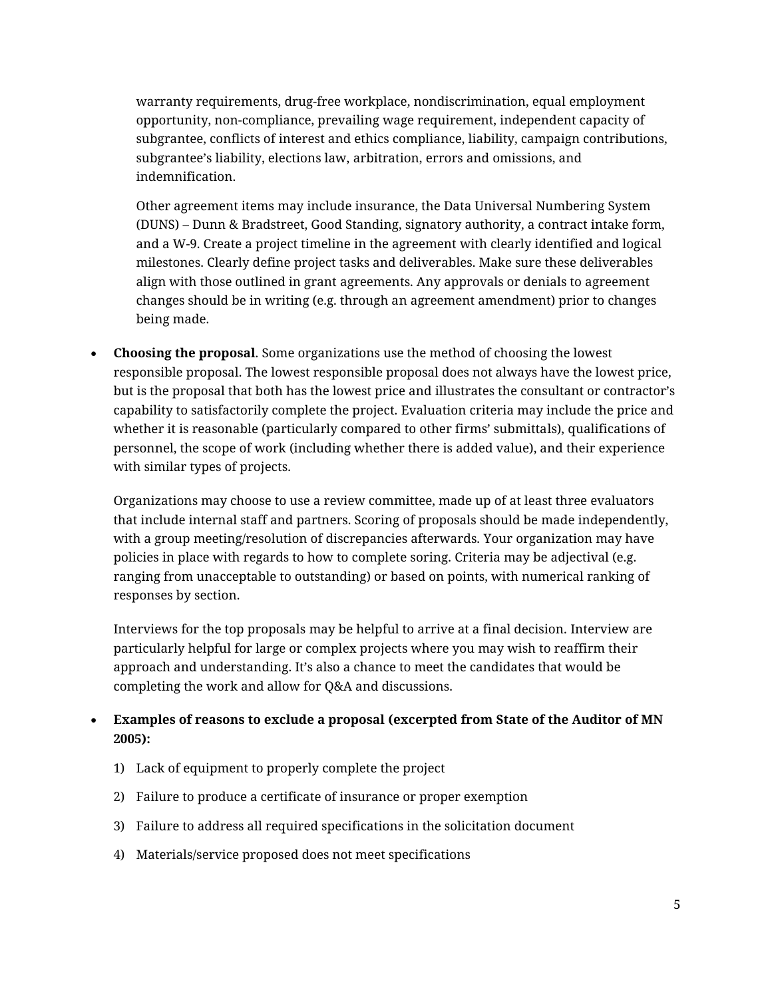warranty requirements, drug-free workplace, nondiscrimination, equal employment opportunity, non-compliance, prevailing wage requirement, independent capacity of subgrantee, conflicts of interest and ethics compliance, liability, campaign contributions, subgrantee's liability, elections law, arbitration, errors and omissions, and indemnification.

Other agreement items may include insurance, the Data Universal Numbering System (DUNS) – Dunn & Bradstreet, Good Standing, signatory authority, a contract intake form, and a W-9. Create a project timeline in the agreement with clearly identified and logical milestones. Clearly define project tasks and deliverables. Make sure these deliverables align with those outlined in grant agreements. Any approvals or denials to agreement changes should be in writing (e.g. through an agreement amendment) prior to changes being made.

• **Choosing the proposal**. Some organizations use the method of choosing the lowest responsible proposal. The lowest responsible proposal does not always have the lowest price, but is the proposal that both has the lowest price and illustrates the consultant or contractor's capability to satisfactorily complete the project. Evaluation criteria may include the price and whether it is reasonable (particularly compared to other firms' submittals), qualifications of personnel, the scope of work (including whether there is added value), and their experience with similar types of projects.

Organizations may choose to use a review committee, made up of at least three evaluators that include internal staff and partners. Scoring of proposals should be made independently, with a group meeting/resolution of discrepancies afterwards. Your organization may have policies in place with regards to how to complete soring. Criteria may be adjectival (e.g. ranging from unacceptable to outstanding) or based on points, with numerical ranking of responses by section.

Interviews for the top proposals may be helpful to arrive at a final decision. Interview are particularly helpful for large or complex projects where you may wish to reaffirm their approach and understanding. It's also a chance to meet the candidates that would be completing the work and allow for Q&A and discussions.

- **Examples of reasons to exclude a proposal (excerpted from State of the Auditor of MN 2005):**
	- 1) Lack of equipment to properly complete the project
	- 2) Failure to produce a certificate of insurance or proper exemption
	- 3) Failure to address all required specifications in the solicitation document
	- 4) Materials/service proposed does not meet specifications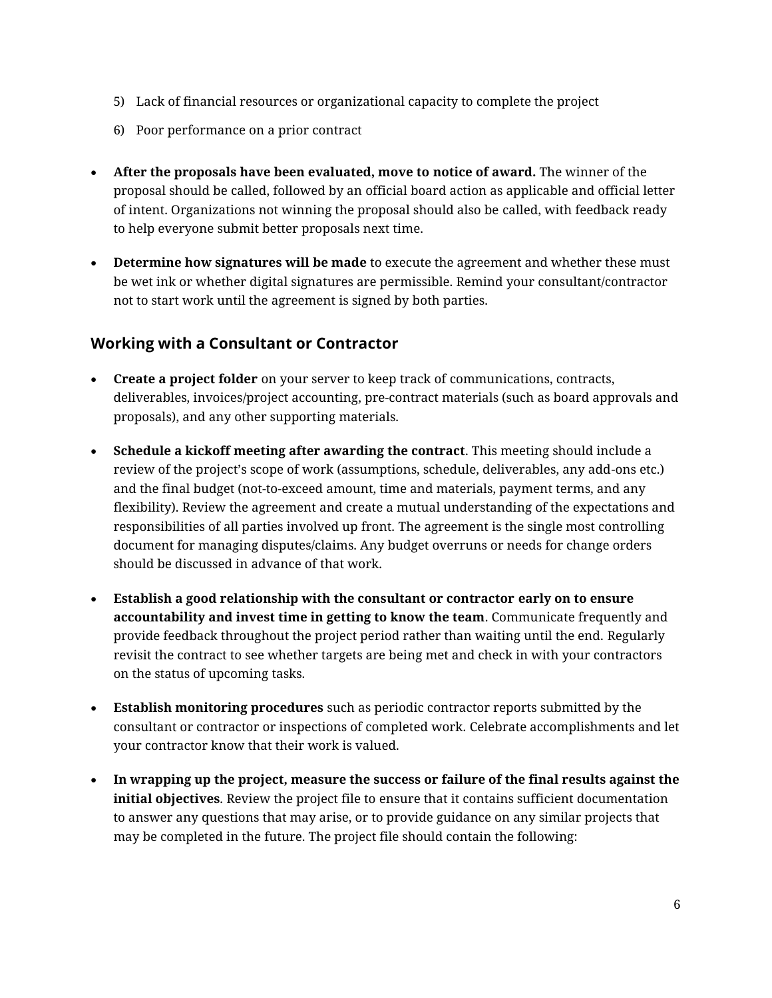- 5) Lack of financial resources or organizational capacity to complete the project
- 6) Poor performance on a prior contract
- **After the proposals have been evaluated, move to notice of award.** The winner of the proposal should be called, followed by an official board action as applicable and official letter of intent. Organizations not winning the proposal should also be called, with feedback ready to help everyone submit better proposals next time.
- **Determine how signatures will be made** to execute the agreement and whether these must be wet ink or whether digital signatures are permissible. Remind your consultant/contractor not to start work until the agreement is signed by both parties.

### **Working with a Consultant or Contractor**

- **Create a project folder** on your server to keep track of communications, contracts, deliverables, invoices/project accounting, pre-contract materials (such as board approvals and proposals), and any other supporting materials.
- **Schedule a kickoff meeting after awarding the contract**. This meeting should include a review of the project's scope of work (assumptions, schedule, deliverables, any add-ons etc.) and the final budget (not-to-exceed amount, time and materials, payment terms, and any flexibility). Review the agreement and create a mutual understanding of the expectations and responsibilities of all parties involved up front. The agreement is the single most controlling document for managing disputes/claims. Any budget overruns or needs for change orders should be discussed in advance of that work.
- **Establish a good relationship with the consultant or contractor early on to ensure accountability and invest time in getting to know the team**. Communicate frequently and provide feedback throughout the project period rather than waiting until the end. Regularly revisit the contract to see whether targets are being met and check in with your contractors on the status of upcoming tasks.
- **Establish monitoring procedures** such as periodic contractor reports submitted by the consultant or contractor or inspections of completed work. Celebrate accomplishments and let your contractor know that their work is valued.
- **In wrapping up the project, measure the success or failure of the final results against the initial objectives**. Review the project file to ensure that it contains sufficient documentation to answer any questions that may arise, or to provide guidance on any similar projects that may be completed in the future. The project file should contain the following: